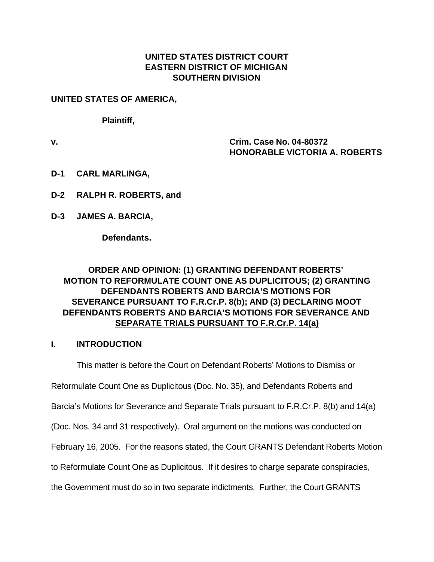#### **UNITED STATES DISTRICT COURT EASTERN DISTRICT OF MICHIGAN SOUTHERN DIVISION**

**UNITED STATES OF AMERICA,** 

**Plaintiff,**

**v. Crim. Case No. 04-80372 HONORABLE VICTORIA A. ROBERTS**

- **D-1 CARL MARLINGA,**
- **D-2 RALPH R. ROBERTS, and**
- **D-3 JAMES A. BARCIA,**

**Defendants.**

### **ORDER AND OPINION: (1) GRANTING DEFENDANT ROBERTS' MOTION TO REFORMULATE COUNT ONE AS DUPLICITOUS; (2) GRANTING DEFENDANTS ROBERTS AND BARCIA'S MOTIONS FOR SEVERANCE PURSUANT TO F.R.Cr.P. 8(b); AND (3) DECLARING MOOT DEFENDANTS ROBERTS AND BARCIA'S MOTIONS FOR SEVERANCE AND SEPARATE TRIALS PURSUANT TO F.R.Cr.P. 14(a)**

#### **I. INTRODUCTION**

This matter is before the Court on Defendant Roberts' Motions to Dismiss or Reformulate Count One as Duplicitous (Doc. No. 35), and Defendants Roberts and Barcia's Motions for Severance and Separate Trials pursuant to F.R.Cr.P. 8(b) and 14(a) (Doc. Nos. 34 and 31 respectively). Oral argument on the motions was conducted on February 16, 2005. For the reasons stated, the Court GRANTS Defendant Roberts Motion to Reformulate Count One as Duplicitous. If it desires to charge separate conspiracies, the Government must do so in two separate indictments. Further, the Court GRANTS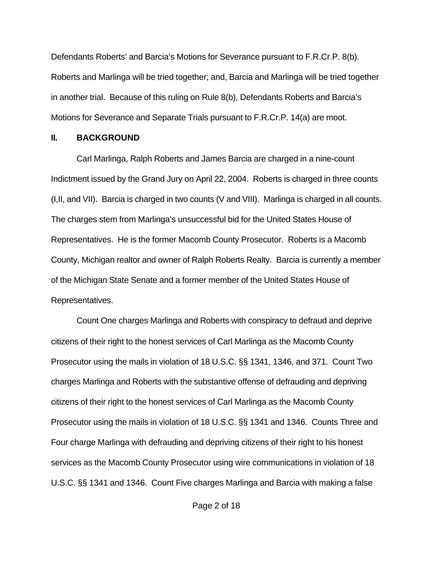Defendants Roberts' and Barcia's Motions for Severance pursuant to F.R.Cr.P. 8(b). Roberts and Marlinga will be tried together; and, Barcia and Marlinga will be tried together in another trial. Because of this ruling on Rule 8(b), Defendants Roberts and Barcia's Motions for Severance and Separate Trials pursuant to F.R.Cr.P. 14(a) are moot.

#### **II. BACKGROUND**

Carl Marlinga, Ralph Roberts and James Barcia are charged in a nine-count Indictment issued by the Grand Jury on April 22, 2004. Roberts is charged in three counts (I,II, and VII). Barcia is charged in two counts (V and VIII). Marlinga is charged in all counts. The charges stem from Marlinga's unsuccessful bid for the United States House of Representatives. He is the former Macomb County Prosecutor. Roberts is a Macomb County, Michigan realtor and owner of Ralph Roberts Realty. Barcia is currently a member of the Michigan State Senate and a former member of the United States House of Representatives.

Count One charges Marlinga and Roberts with conspiracy to defraud and deprive citizens of their right to the honest services of Carl Marlinga as the Macomb County Prosecutor using the mails in violation of 18 U.S.C. §§ 1341, 1346, and 371. Count Two charges Marlinga and Roberts with the substantive offense of defrauding and depriving citizens of their right to the honest services of Carl Marlinga as the Macomb County Prosecutor using the mails in violation of 18 U.S.C. §§ 1341 and 1346. Counts Three and Four charge Marlinga with defrauding and depriving citizens of their right to his honest services as the Macomb County Prosecutor using wire communications in violation of 18 U.S.C. §§ 1341 and 1346. Count Five charges Marlinga and Barcia with making a false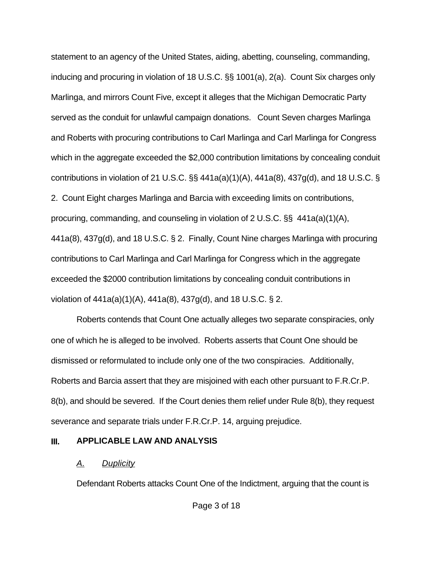statement to an agency of the United States, aiding, abetting, counseling, commanding, inducing and procuring in violation of 18 U.S.C. §§ 1001(a), 2(a). Count Six charges only Marlinga, and mirrors Count Five, except it alleges that the Michigan Democratic Party served as the conduit for unlawful campaign donations. Count Seven charges Marlinga and Roberts with procuring contributions to Carl Marlinga and Carl Marlinga for Congress which in the aggregate exceeded the \$2,000 contribution limitations by concealing conduit contributions in violation of 21 U.S.C.  $\S$ § 441a(a)(1)(A), 441a(8), 437g(d), and 18 U.S.C. § 2. Count Eight charges Marlinga and Barcia with exceeding limits on contributions, procuring, commanding, and counseling in violation of 2 U.S.C. §§ 441a(a)(1)(A), 441a(8), 437g(d), and 18 U.S.C. § 2. Finally, Count Nine charges Marlinga with procuring contributions to Carl Marlinga and Carl Marlinga for Congress which in the aggregate exceeded the \$2000 contribution limitations by concealing conduit contributions in violation of 441a(a)(1)(A), 441a(8), 437g(d), and 18 U.S.C. § 2.

Roberts contends that Count One actually alleges two separate conspiracies, only one of which he is alleged to be involved. Roberts asserts that Count One should be dismissed or reformulated to include only one of the two conspiracies. Additionally, Roberts and Barcia assert that they are misjoined with each other pursuant to F.R.Cr.P. 8(b), and should be severed. If the Court denies them relief under Rule 8(b), they request severance and separate trials under F.R.Cr.P. 14, arguing prejudice.

#### **III. APPLICABLE LAW AND ANALYSIS**

### *A. Duplicity*

Defendant Roberts attacks Count One of the Indictment, arguing that the count is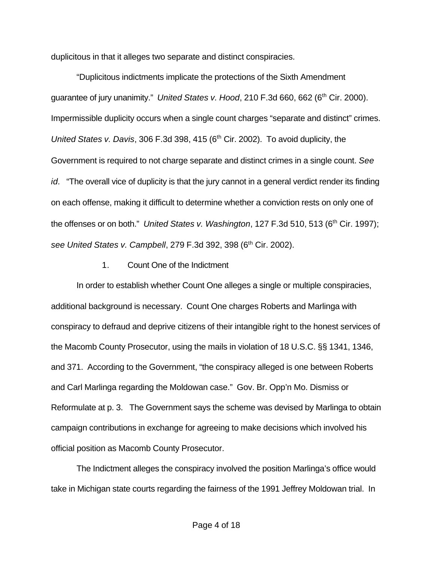duplicitous in that it alleges two separate and distinct conspiracies.

"Duplicitous indictments implicate the protections of the Sixth Amendment guarantee of jury unanimity." *United States v. Hood*, 210 F.3d 660, 662 (6<sup>th</sup> Cir. 2000). Impermissible duplicity occurs when a single count charges "separate and distinct" crimes. *United States v. Davis, 306 F.3d 398, 415 (6<sup>th</sup> Cir. 2002). To avoid duplicity, the* Government is required to not charge separate and distinct crimes in a single count. *See id.* "The overall vice of duplicity is that the jury cannot in a general verdict render its finding on each offense, making it difficult to determine whether a conviction rests on only one of the offenses or on both." *United States v. Washington*, 127 F.3d 510, 513 (6<sup>th</sup> Cir. 1997); see United States v. Campbell, 279 F.3d 392, 398 (6<sup>th</sup> Cir. 2002).

#### 1. Count One of the Indictment

In order to establish whether Count One alleges a single or multiple conspiracies, additional background is necessary. Count One charges Roberts and Marlinga with conspiracy to defraud and deprive citizens of their intangible right to the honest services of the Macomb County Prosecutor, using the mails in violation of 18 U.S.C. §§ 1341, 1346, and 371. According to the Government, "the conspiracy alleged is one between Roberts and Carl Marlinga regarding the Moldowan case." Gov. Br. Opp'n Mo. Dismiss or Reformulate at p. 3. The Government says the scheme was devised by Marlinga to obtain campaign contributions in exchange for agreeing to make decisions which involved his official position as Macomb County Prosecutor.

The Indictment alleges the conspiracy involved the position Marlinga's office would take in Michigan state courts regarding the fairness of the 1991 Jeffrey Moldowan trial. In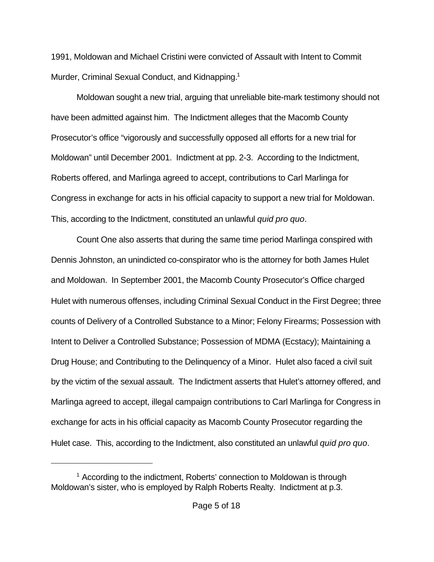1991, Moldowan and Michael Cristini were convicted of Assault with Intent to Commit Murder, Criminal Sexual Conduct, and Kidnapping.<sup>1</sup>

Moldowan sought a new trial, arguing that unreliable bite-mark testimony should not have been admitted against him. The Indictment alleges that the Macomb County Prosecutor's office "vigorously and successfully opposed all efforts for a new trial for Moldowan" until December 2001. Indictment at pp. 2-3. According to the Indictment, Roberts offered, and Marlinga agreed to accept, contributions to Carl Marlinga for Congress in exchange for acts in his official capacity to support a new trial for Moldowan. This, according to the Indictment, constituted an unlawful *quid pro quo*.

Count One also asserts that during the same time period Marlinga conspired with Dennis Johnston, an unindicted co-conspirator who is the attorney for both James Hulet and Moldowan. In September 2001, the Macomb County Prosecutor's Office charged Hulet with numerous offenses, including Criminal Sexual Conduct in the First Degree; three counts of Delivery of a Controlled Substance to a Minor; Felony Firearms; Possession with Intent to Deliver a Controlled Substance; Possession of MDMA (Ecstacy); Maintaining a Drug House; and Contributing to the Delinquency of a Minor. Hulet also faced a civil suit by the victim of the sexual assault. The Indictment asserts that Hulet's attorney offered, and Marlinga agreed to accept, illegal campaign contributions to Carl Marlinga for Congress in exchange for acts in his official capacity as Macomb County Prosecutor regarding the Hulet case. This, according to the Indictment, also constituted an unlawful *quid pro quo*.

<sup>&</sup>lt;sup>1</sup> According to the indictment, Roberts' connection to Moldowan is through Moldowan's sister, who is employed by Ralph Roberts Realty. Indictment at p.3.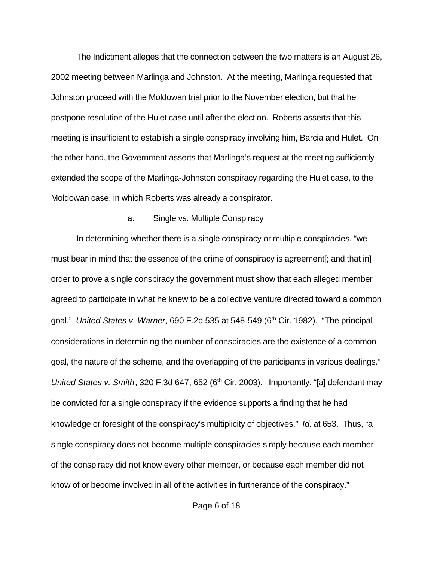The Indictment alleges that the connection between the two matters is an August 26, 2002 meeting between Marlinga and Johnston. At the meeting, Marlinga requested that Johnston proceed with the Moldowan trial prior to the November election, but that he postpone resolution of the Hulet case until after the election. Roberts asserts that this meeting is insufficient to establish a single conspiracy involving him, Barcia and Hulet. On the other hand, the Government asserts that Marlinga's request at the meeting sufficiently extended the scope of the Marlinga-Johnston conspiracy regarding the Hulet case, to the Moldowan case, in which Roberts was already a conspirator.

#### a. Single vs. Multiple Conspiracy

In determining whether there is a single conspiracy or multiple conspiracies, "we must bear in mind that the essence of the crime of conspiracy is agreement[; and that in] order to prove a single conspiracy the government must show that each alleged member agreed to participate in what he knew to be a collective venture directed toward a common goal." *United States v. Warner*, 690 F.2d 535 at 548-549 (6th Cir. 1982). "The principal considerations in determining the number of conspiracies are the existence of a common goal, the nature of the scheme, and the overlapping of the participants in various dealings." *United States v. Smith*, 320 F.3d 647, 652 (6<sup>th</sup> Cir. 2003). Importantly, "[a] defendant may be convicted for a single conspiracy if the evidence supports a finding that he had knowledge or foresight of the conspiracy's multiplicity of objectives." *Id.* at 653. Thus, "a single conspiracy does not become multiple conspiracies simply because each member of the conspiracy did not know every other member, or because each member did not know of or become involved in all of the activities in furtherance of the conspiracy."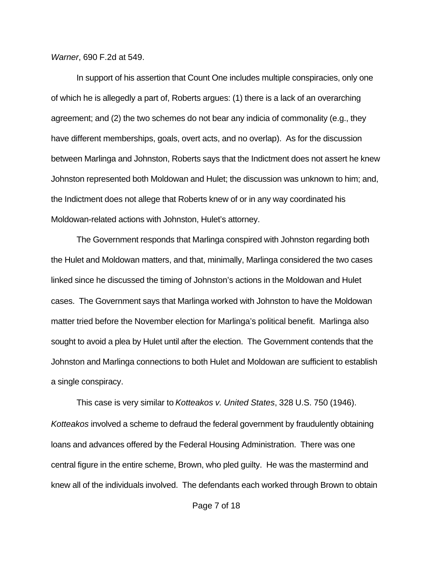*Warner*, 690 F.2d at 549.

In support of his assertion that Count One includes multiple conspiracies, only one of which he is allegedly a part of, Roberts argues: (1) there is a lack of an overarching agreement; and (2) the two schemes do not bear any indicia of commonality (e.g., they have different memberships, goals, overt acts, and no overlap). As for the discussion between Marlinga and Johnston, Roberts says that the Indictment does not assert he knew Johnston represented both Moldowan and Hulet; the discussion was unknown to him; and, the Indictment does not allege that Roberts knew of or in any way coordinated his Moldowan-related actions with Johnston, Hulet's attorney.

The Government responds that Marlinga conspired with Johnston regarding both the Hulet and Moldowan matters, and that, minimally, Marlinga considered the two cases linked since he discussed the timing of Johnston's actions in the Moldowan and Hulet cases. The Government says that Marlinga worked with Johnston to have the Moldowan matter tried before the November election for Marlinga's political benefit. Marlinga also sought to avoid a plea by Hulet until after the election. The Government contends that the Johnston and Marlinga connections to both Hulet and Moldowan are sufficient to establish a single conspiracy.

This case is very similar to *Kotteakos v. United States*, 328 U.S. 750 (1946). *Kotteakos* involved a scheme to defraud the federal government by fraudulently obtaining loans and advances offered by the Federal Housing Administration. There was one central figure in the entire scheme, Brown, who pled guilty. He was the mastermind and knew all of the individuals involved. The defendants each worked through Brown to obtain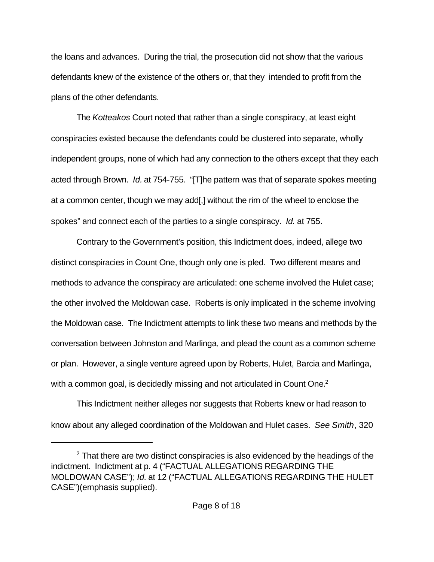the loans and advances. During the trial, the prosecution did not show that the various defendants knew of the existence of the others or, that they intended to profit from the plans of the other defendants.

The *Kotteakos* Court noted that rather than a single conspiracy, at least eight conspiracies existed because the defendants could be clustered into separate, wholly independent groups, none of which had any connection to the others except that they each acted through Brown. *Id.* at 754-755. "[T]he pattern was that of separate spokes meeting at a common center, though we may add[,] without the rim of the wheel to enclose the spokes" and connect each of the parties to a single conspiracy. *Id.* at 755.

Contrary to the Government's position, this Indictment does, indeed, allege two distinct conspiracies in Count One, though only one is pled. Two different means and methods to advance the conspiracy are articulated: one scheme involved the Hulet case; the other involved the Moldowan case. Roberts is only implicated in the scheme involving the Moldowan case. The Indictment attempts to link these two means and methods by the conversation between Johnston and Marlinga, and plead the count as a common scheme or plan. However, a single venture agreed upon by Roberts, Hulet, Barcia and Marlinga, with a common goal, is decidedly missing and not articulated in Count One. $2$ 

This Indictment neither alleges nor suggests that Roberts knew or had reason to know about any alleged coordination of the Moldowan and Hulet cases. *See Smith*, 320

 $2$  That there are two distinct conspiracies is also evidenced by the headings of the indictment. Indictment at p. 4 ("FACTUAL ALLEGATIONS REGARDING THE MOLDOWAN CASE"); *Id.* at 12 ("FACTUAL ALLEGATIONS REGARDING THE HULET CASE")(emphasis supplied).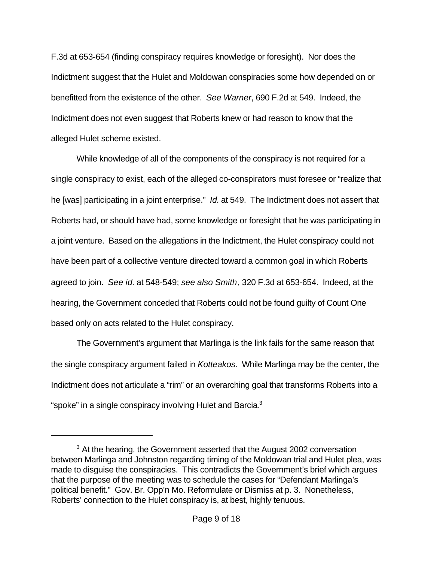F.3d at 653-654 (finding conspiracy requires knowledge or foresight). Nor does the Indictment suggest that the Hulet and Moldowan conspiracies some how depended on or benefitted from the existence of the other. *See Warner*, 690 F.2d at 549. Indeed, the Indictment does not even suggest that Roberts knew or had reason to know that the alleged Hulet scheme existed.

While knowledge of all of the components of the conspiracy is not required for a single conspiracy to exist, each of the alleged co-conspirators must foresee or "realize that he [was] participating in a joint enterprise." *Id.* at 549. The Indictment does not assert that Roberts had, or should have had, some knowledge or foresight that he was participating in a joint venture. Based on the allegations in the Indictment, the Hulet conspiracy could not have been part of a collective venture directed toward a common goal in which Roberts agreed to join. *See id.* at 548-549; *see also Smith*, 320 F.3d at 653-654. Indeed, at the hearing, the Government conceded that Roberts could not be found guilty of Count One based only on acts related to the Hulet conspiracy.

The Government's argument that Marlinga is the link fails for the same reason that the single conspiracy argument failed in *Kotteakos*. While Marlinga may be the center, the Indictment does not articulate a "rim" or an overarching goal that transforms Roberts into a "spoke" in a single conspiracy involving Hulet and Barcia. $3$ 

 $3$  At the hearing, the Government asserted that the August 2002 conversation between Marlinga and Johnston regarding timing of the Moldowan trial and Hulet plea, was made to disguise the conspiracies. This contradicts the Government's brief which argues that the purpose of the meeting was to schedule the cases for "Defendant Marlinga's political benefit." Gov. Br. Opp'n Mo. Reformulate or Dismiss at p. 3. Nonetheless, Roberts' connection to the Hulet conspiracy is, at best, highly tenuous.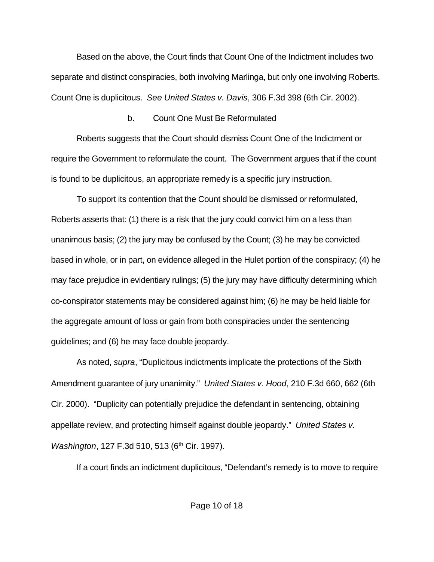Based on the above, the Court finds that Count One of the Indictment includes two separate and distinct conspiracies, both involving Marlinga, but only one involving Roberts. Count One is duplicitous. *See United States v. Davis*, 306 F.3d 398 (6th Cir. 2002).

### b. Count One Must Be Reformulated

Roberts suggests that the Court should dismiss Count One of the Indictment or require the Government to reformulate the count. The Government argues that if the count is found to be duplicitous, an appropriate remedy is a specific jury instruction.

To support its contention that the Count should be dismissed or reformulated, Roberts asserts that: (1) there is a risk that the jury could convict him on a less than unanimous basis; (2) the jury may be confused by the Count; (3) he may be convicted based in whole, or in part, on evidence alleged in the Hulet portion of the conspiracy; (4) he may face prejudice in evidentiary rulings; (5) the jury may have difficulty determining which co-conspirator statements may be considered against him; (6) he may be held liable for the aggregate amount of loss or gain from both conspiracies under the sentencing guidelines; and (6) he may face double jeopardy.

As noted, *supra*, "Duplicitous indictments implicate the protections of the Sixth Amendment guarantee of jury unanimity." *United States v. Hood*, 210 F.3d 660, 662 (6th Cir. 2000). "Duplicity can potentially prejudice the defendant in sentencing, obtaining appellate review, and protecting himself against double jeopardy." *United States v. Washington, 127 F.3d 510, 513 (6<sup>th</sup> Cir. 1997).* 

If a court finds an indictment duplicitous, "Defendant's remedy is to move to require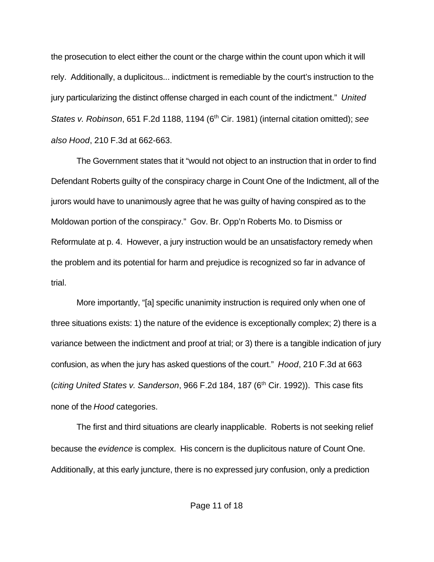the prosecution to elect either the count or the charge within the count upon which it will rely. Additionally, a duplicitous... indictment is remediable by the court's instruction to the jury particularizing the distinct offense charged in each count of the indictment." *United States v. Robinson*, 651 F.2d 1188, 1194 (6th Cir. 1981) (internal citation omitted); *see also Hood*, 210 F.3d at 662-663.

The Government states that it "would not object to an instruction that in order to find Defendant Roberts guilty of the conspiracy charge in Count One of the Indictment, all of the jurors would have to unanimously agree that he was guilty of having conspired as to the Moldowan portion of the conspiracy." Gov. Br. Opp'n Roberts Mo. to Dismiss or Reformulate at p. 4. However, a jury instruction would be an unsatisfactory remedy when the problem and its potential for harm and prejudice is recognized so far in advance of trial.

More importantly, "[a] specific unanimity instruction is required only when one of three situations exists: 1) the nature of the evidence is exceptionally complex; 2) there is a variance between the indictment and proof at trial; or 3) there is a tangible indication of jury confusion, as when the jury has asked questions of the court." *Hood*, 210 F.3d at 663 (*citing United States v. Sanderson*, 966 F.2d 184, 187 (6<sup>th</sup> Cir. 1992)). This case fits none of the *Hood* categories.

The first and third situations are clearly inapplicable. Roberts is not seeking relief because the *evidence* is complex. His concern is the duplicitous nature of Count One. Additionally, at this early juncture, there is no expressed jury confusion, only a prediction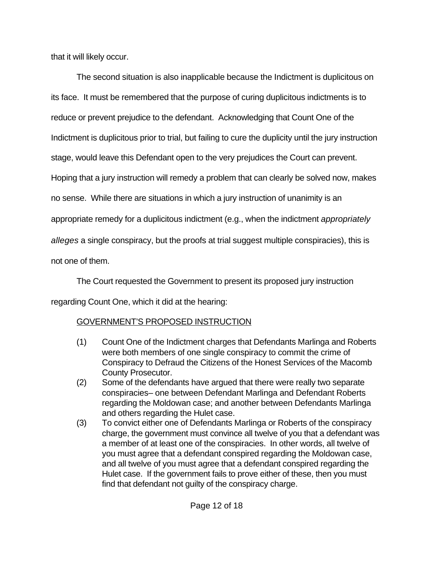that it will likely occur.

The second situation is also inapplicable because the Indictment is duplicitous on its face. It must be remembered that the purpose of curing duplicitous indictments is to reduce or prevent prejudice to the defendant. Acknowledging that Count One of the Indictment is duplicitous prior to trial, but failing to cure the duplicity until the jury instruction stage, would leave this Defendant open to the very prejudices the Court can prevent. Hoping that a jury instruction will remedy a problem that can clearly be solved now, makes no sense. While there are situations in which a jury instruction of unanimity is an appropriate remedy for a duplicitous indictment (e.g., when the indictment *appropriately alleges* a single conspiracy, but the proofs at trial suggest multiple conspiracies), this is not one of them.

The Court requested the Government to present its proposed jury instruction regarding Count One, which it did at the hearing:

# GOVERNMENT'S PROPOSED INSTRUCTION

- (1) Count One of the Indictment charges that Defendants Marlinga and Roberts were both members of one single conspiracy to commit the crime of Conspiracy to Defraud the Citizens of the Honest Services of the Macomb County Prosecutor.
- (2) Some of the defendants have argued that there were really two separate conspiracies– one between Defendant Marlinga and Defendant Roberts regarding the Moldowan case; and another between Defendants Marlinga and others regarding the Hulet case.
- (3) To convict either one of Defendants Marlinga or Roberts of the conspiracy charge, the government must convince all twelve of you that a defendant was a member of at least one of the conspiracies. In other words, all twelve of you must agree that a defendant conspired regarding the Moldowan case, and all twelve of you must agree that a defendant conspired regarding the Hulet case. If the government fails to prove either of these, then you must find that defendant not guilty of the conspiracy charge.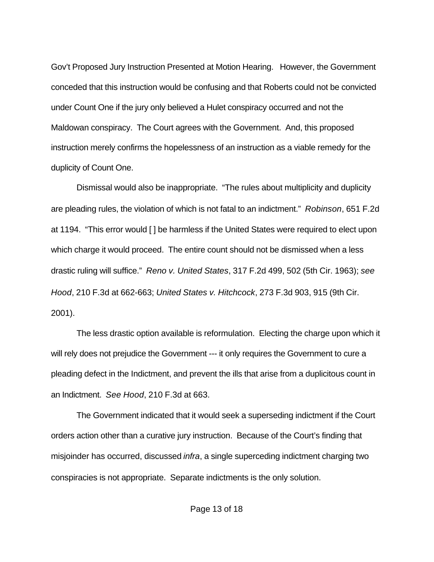Gov't Proposed Jury Instruction Presented at Motion Hearing. However, the Government conceded that this instruction would be confusing and that Roberts could not be convicted under Count One if the jury only believed a Hulet conspiracy occurred and not the Maldowan conspiracy. The Court agrees with the Government. And, this proposed instruction merely confirms the hopelessness of an instruction as a viable remedy for the duplicity of Count One.

Dismissal would also be inappropriate. "The rules about multiplicity and duplicity are pleading rules, the violation of which is not fatal to an indictment." *Robinson*, 651 F.2d at 1194. "This error would [ ] be harmless if the United States were required to elect upon which charge it would proceed. The entire count should not be dismissed when a less drastic ruling will suffice." *Reno v. United States*, 317 F.2d 499, 502 (5th Cir. 1963); *see Hood*, 210 F.3d at 662-663; *United States v. Hitchcock*, 273 F.3d 903, 915 (9th Cir. 2001).

The less drastic option available is reformulation. Electing the charge upon which it will rely does not prejudice the Government --- it only requires the Government to cure a pleading defect in the Indictment, and prevent the ills that arise from a duplicitous count in an Indictment. *See Hood*, 210 F.3d at 663.

The Government indicated that it would seek a superseding indictment if the Court orders action other than a curative jury instruction. Because of the Court's finding that misjoinder has occurred, discussed *infra*, a single superceding indictment charging two conspiracies is not appropriate. Separate indictments is the only solution.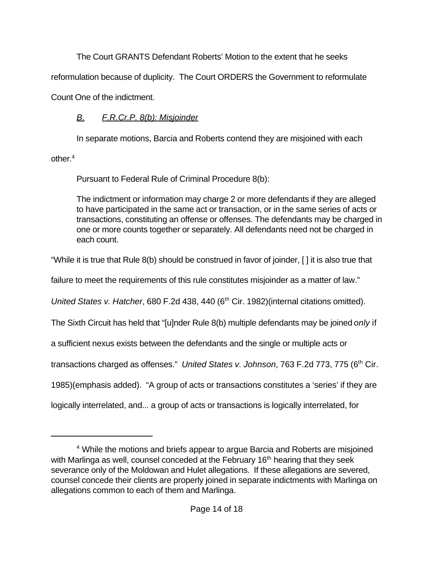The Court GRANTS Defendant Roberts' Motion to the extent that he seeks

reformulation because of duplicity. The Court ORDERS the Government to reformulate

Count One of the indictment.

# *B. F.R.Cr.P. 8(b): Misjoinder*

In separate motions, Barcia and Roberts contend they are misjoined with each other.<sup>4</sup>

Pursuant to Federal Rule of Criminal Procedure 8(b):

The indictment or information may charge 2 or more defendants if they are alleged to have participated in the same act or transaction, or in the same series of acts or transactions, constituting an offense or offenses. The defendants may be charged in one or more counts together or separately. All defendants need not be charged in each count.

"While it is true that Rule 8(b) should be construed in favor of joinder, [ ] it is also true that

failure to meet the requirements of this rule constitutes misjoinder as a matter of law."

*United States v. Hatcher*, 680 F.2d 438, 440 (6<sup>th</sup> Cir. 1982) (internal citations omitted).

The Sixth Circuit has held that "[u]nder Rule 8(b) multiple defendants may be joined *only* if

a sufficient nexus exists between the defendants and the single or multiple acts or

transactions charged as offenses." United States v. Johnson, 763 F.2d 773, 775 (6<sup>th</sup> Cir.

1985)(emphasis added). "A group of acts or transactions constitutes a 'series' if they are

logically interrelated, and... a group of acts or transactions is logically interrelated, for

<sup>&</sup>lt;sup>4</sup> While the motions and briefs appear to argue Barcia and Roberts are misjoined with Marlinga as well, counsel conceded at the February 16<sup>th</sup> hearing that they seek severance only of the Moldowan and Hulet allegations. If these allegations are severed, counsel concede their clients are properly joined in separate indictments with Marlinga on allegations common to each of them and Marlinga.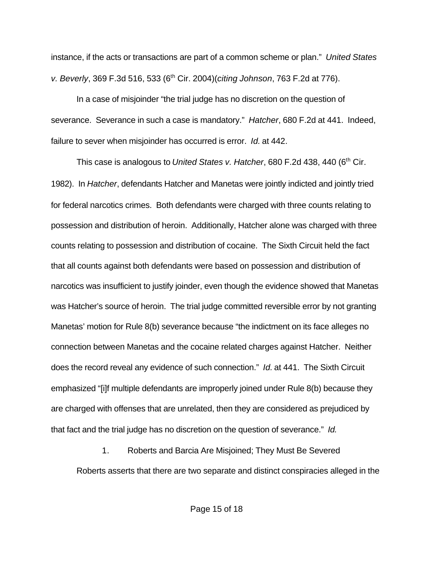instance, if the acts or transactions are part of a common scheme or plan." *United States v. Beverly*, 369 F.3d 516, 533 (6th Cir. 2004)(*citing Johnson*, 763 F.2d at 776).

In a case of misjoinder "the trial judge has no discretion on the question of severance. Severance in such a case is mandatory." *Hatcher*, 680 F.2d at 441. Indeed, failure to sever when misjoinder has occurred is error. *Id.* at 442.

This case is analogous to *United States v. Hatcher*, 680 F.2d 438, 440 (6<sup>th</sup> Cir. 1982). In *Hatcher*, defendants Hatcher and Manetas were jointly indicted and jointly tried for federal narcotics crimes. Both defendants were charged with three counts relating to possession and distribution of heroin. Additionally, Hatcher alone was charged with three counts relating to possession and distribution of cocaine. The Sixth Circuit held the fact that all counts against both defendants were based on possession and distribution of narcotics was insufficient to justify joinder, even though the evidence showed that Manetas was Hatcher's source of heroin. The trial judge committed reversible error by not granting Manetas' motion for Rule 8(b) severance because "the indictment on its face alleges no connection between Manetas and the cocaine related charges against Hatcher. Neither does the record reveal any evidence of such connection." *Id.* at 441. The Sixth Circuit emphasized "[i]f multiple defendants are improperly joined under Rule 8(b) because they are charged with offenses that are unrelated, then they are considered as prejudiced by that fact and the trial judge has no discretion on the question of severance." *Id.* 

1. Roberts and Barcia Are Misjoined; They Must Be Severed Roberts asserts that there are two separate and distinct conspiracies alleged in the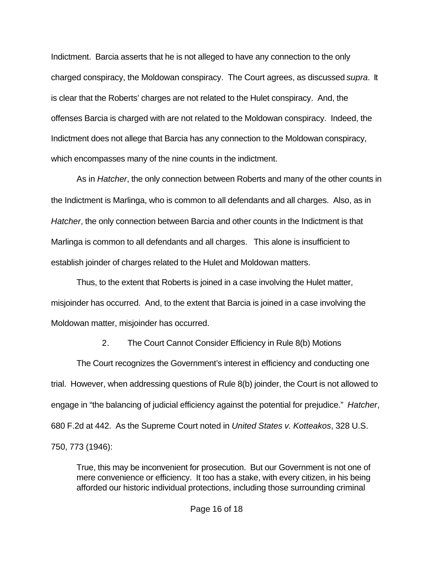Indictment. Barcia asserts that he is not alleged to have any connection to the only charged conspiracy, the Moldowan conspiracy. The Court agrees, as discussed *supra*. It is clear that the Roberts' charges are not related to the Hulet conspiracy. And, the offenses Barcia is charged with are not related to the Moldowan conspiracy. Indeed, the Indictment does not allege that Barcia has any connection to the Moldowan conspiracy, which encompasses many of the nine counts in the indictment.

As in *Hatcher*, the only connection between Roberts and many of the other counts in the Indictment is Marlinga, who is common to all defendants and all charges. Also, as in *Hatcher*, the only connection between Barcia and other counts in the Indictment is that Marlinga is common to all defendants and all charges. This alone is insufficient to establish joinder of charges related to the Hulet and Moldowan matters.

Thus, to the extent that Roberts is joined in a case involving the Hulet matter, misjoinder has occurred. And, to the extent that Barcia is joined in a case involving the Moldowan matter, misjoinder has occurred.

2. The Court Cannot Consider Efficiency in Rule 8(b) Motions

The Court recognizes the Government's interest in efficiency and conducting one trial. However, when addressing questions of Rule 8(b) joinder, the Court is not allowed to engage in "the balancing of judicial efficiency against the potential for prejudice." *Hatcher*, 680 F.2d at 442. As the Supreme Court noted in *United States v. Kotteakos*, 328 U.S. 750, 773 (1946):

True, this may be inconvenient for prosecution. But our Government is not one of mere convenience or efficiency. It too has a stake, with every citizen, in his being afforded our historic individual protections, including those surrounding criminal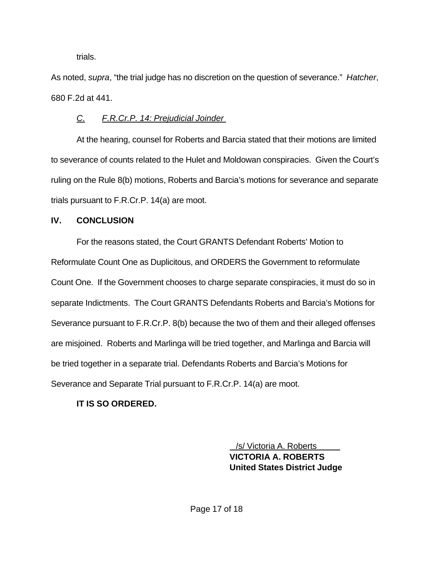trials.

As noted, *supra*, "the trial judge has no discretion on the question of severance." *Hatcher*, 680 F.2d at 441.

### *C. F.R.Cr.P. 14: Prejudicial Joinder*

At the hearing, counsel for Roberts and Barcia stated that their motions are limited to severance of counts related to the Hulet and Moldowan conspiracies. Given the Court's ruling on the Rule 8(b) motions, Roberts and Barcia's motions for severance and separate trials pursuant to F.R.Cr.P. 14(a) are moot.

### **IV. CONCLUSION**

For the reasons stated, the Court GRANTS Defendant Roberts' Motion to Reformulate Count One as Duplicitous, and ORDERS the Government to reformulate Count One. If the Government chooses to charge separate conspiracies, it must do so in separate Indictments. The Court GRANTS Defendants Roberts and Barcia's Motions for Severance pursuant to F.R.Cr.P. 8(b) because the two of them and their alleged offenses are misjoined. Roberts and Marlinga will be tried together, and Marlinga and Barcia will be tried together in a separate trial. Defendants Roberts and Barcia's Motions for Severance and Separate Trial pursuant to F.R.Cr.P. 14(a) are moot.

# **IT IS SO ORDERED.**

 /s/ Victoria A. Roberts **VICTORIA A. ROBERTS United States District Judge**